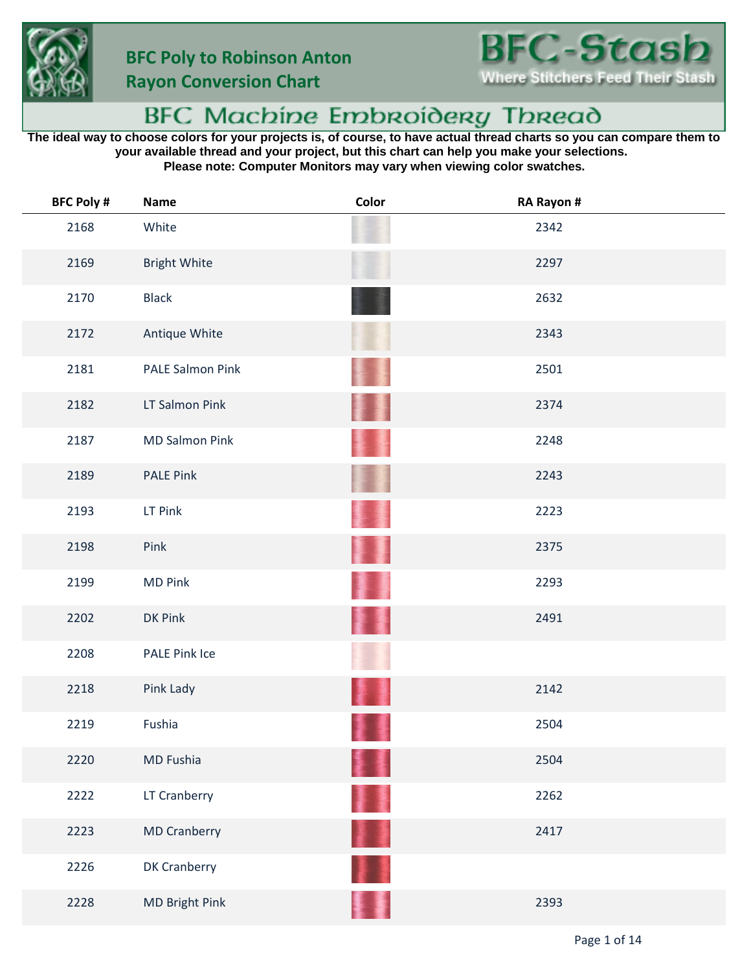



## BFC Machine Embroidery Thread

**The ideal way to choose colors for your projects is, of course, to have actual thread charts so you can compare them to your available thread and your project, but this chart can help you make your selections. Please note: Computer Monitors may vary when viewing color swatches.**

| <b>BFC Poly #</b> | <b>Name</b>           | Color | RA Rayon # |
|-------------------|-----------------------|-------|------------|
| 2168              | White                 |       | 2342       |
| 2169              | <b>Bright White</b>   |       | 2297       |
| 2170              | <b>Black</b>          |       | 2632       |
| 2172              | Antique White         |       | 2343       |
| 2181              | PALE Salmon Pink      |       | 2501       |
| 2182              | LT Salmon Pink        |       | 2374       |
| 2187              | <b>MD Salmon Pink</b> |       | 2248       |
| 2189              | <b>PALE Pink</b>      |       | 2243       |
| 2193              | LT Pink               |       | 2223       |
| 2198              | Pink                  |       | 2375       |
| 2199              | <b>MD Pink</b>        |       | 2293       |
| 2202              | DK Pink               |       | 2491       |
| 2208              | PALE Pink Ice         |       |            |
| 2218              | Pink Lady             |       | 2142       |
| 2219              | Fushia                |       | 2504       |
| 2220              | MD Fushia             |       | 2504       |
| 2222              | LT Cranberry          |       | 2262       |
| 2223              | <b>MD Cranberry</b>   | 書畫    | 2417       |
| 2226              | DK Cranberry          |       |            |
| 2228              | MD Bright Pink        |       | 2393       |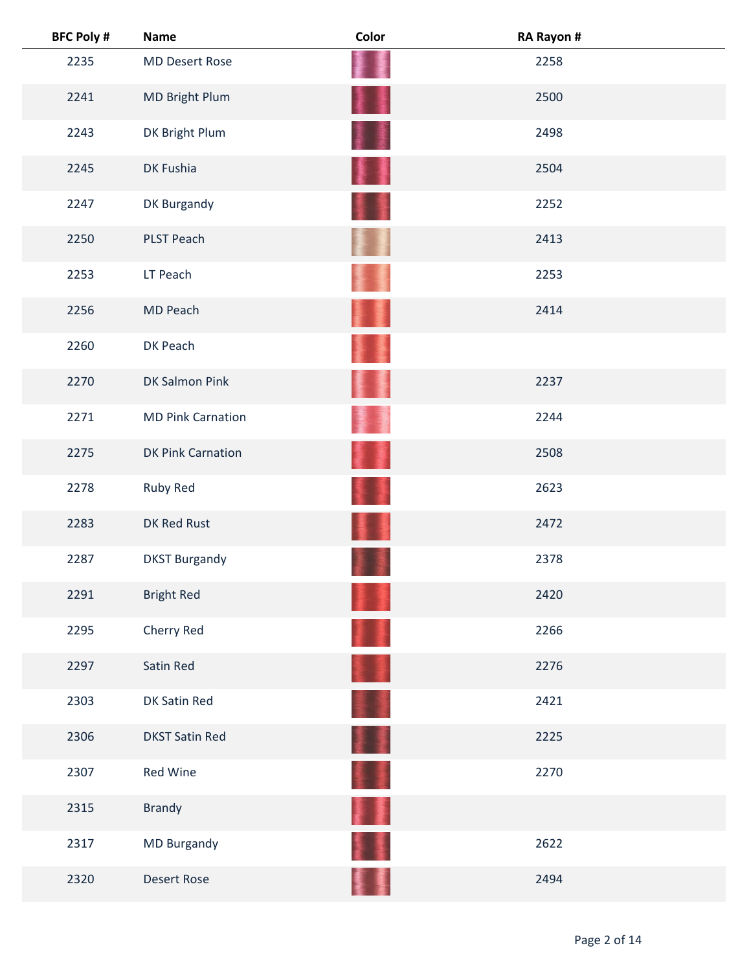| <b>BFC Poly #</b> | Name                     | Color | RA Rayon # |
|-------------------|--------------------------|-------|------------|
| 2235              | <b>MD Desert Rose</b>    |       | 2258       |
| 2241              | MD Bright Plum           | ł     | 2500       |
| 2243              | DK Bright Plum           |       | 2498       |
| 2245              | DK Fushia                |       | 2504       |
| 2247              | DK Burgandy              |       | 2252       |
| 2250              | <b>PLST Peach</b>        |       | 2413       |
| 2253              | LT Peach                 |       | 2253       |
| 2256              | MD Peach                 |       | 2414       |
| 2260              | DK Peach                 |       |            |
| 2270              | DK Salmon Pink           |       | 2237       |
| 2271              | <b>MD Pink Carnation</b> |       | 2244       |
| 2275              | <b>DK Pink Carnation</b> |       | 2508       |
| 2278              | Ruby Red                 |       | 2623       |
| 2283              | DK Red Rust              |       | 2472       |
| 2287              | <b>DKST Burgandy</b>     |       | 2378       |
| 2291              | <b>Bright Red</b>        |       | 2420       |
| 2295              | Cherry Red               |       | 2266       |
| 2297              | Satin Red                |       | 2276       |
| 2303              | DK Satin Red             |       | 2421       |
| 2306              | <b>DKST Satin Red</b>    | I ≸   | 2225       |
| 2307              | Red Wine                 |       | 2270       |
| 2315              | <b>Brandy</b>            |       |            |
| 2317              | MD Burgandy              |       | 2622       |
| 2320              | <b>Desert Rose</b>       |       | 2494       |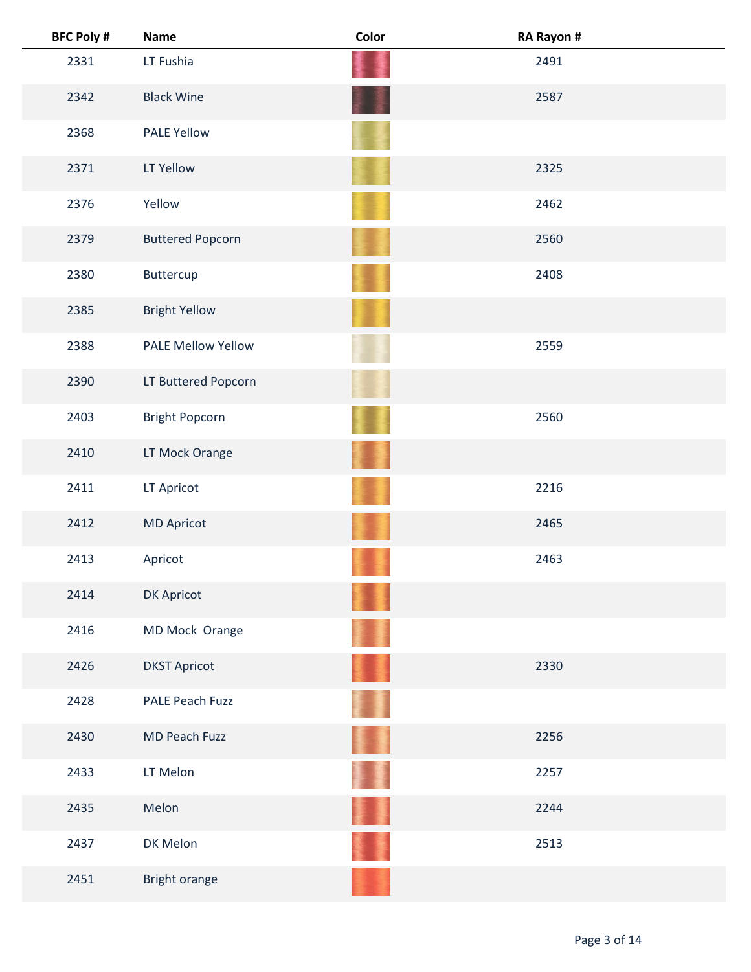| <b>BFC Poly #</b> | <b>Name</b>               | Color | RA Rayon # |
|-------------------|---------------------------|-------|------------|
| 2331              | LT Fushia                 |       | 2491       |
| 2342              | <b>Black Wine</b>         |       | 2587       |
| 2368              | <b>PALE Yellow</b>        |       |            |
| 2371              | LT Yellow                 |       | 2325       |
| 2376              | Yellow                    |       | 2462       |
| 2379              | <b>Buttered Popcorn</b>   |       | 2560       |
| 2380              | Buttercup                 |       | 2408       |
| 2385              | <b>Bright Yellow</b>      |       |            |
| 2388              | <b>PALE Mellow Yellow</b> |       | 2559       |
| 2390              | LT Buttered Popcorn       |       |            |
| 2403              | <b>Bright Popcorn</b>     |       | 2560       |
| 2410              | LT Mock Orange            |       |            |
| 2411              | LT Apricot                |       | 2216       |
| 2412              | <b>MD Apricot</b>         |       | 2465       |
| 2413              | Apricot                   |       | 2463       |
| 2414              | DK Apricot                |       |            |
| 2416              | MD Mock Orange            |       |            |
| 2426              | <b>DKST Apricot</b>       |       | 2330       |
| 2428              | <b>PALE Peach Fuzz</b>    |       |            |
| 2430              | MD Peach Fuzz             |       | 2256       |
| 2433              | LT Melon                  |       | 2257       |
| 2435              | Melon                     |       | 2244       |
| 2437              | DK Melon                  |       | 2513       |
| 2451              | Bright orange             |       |            |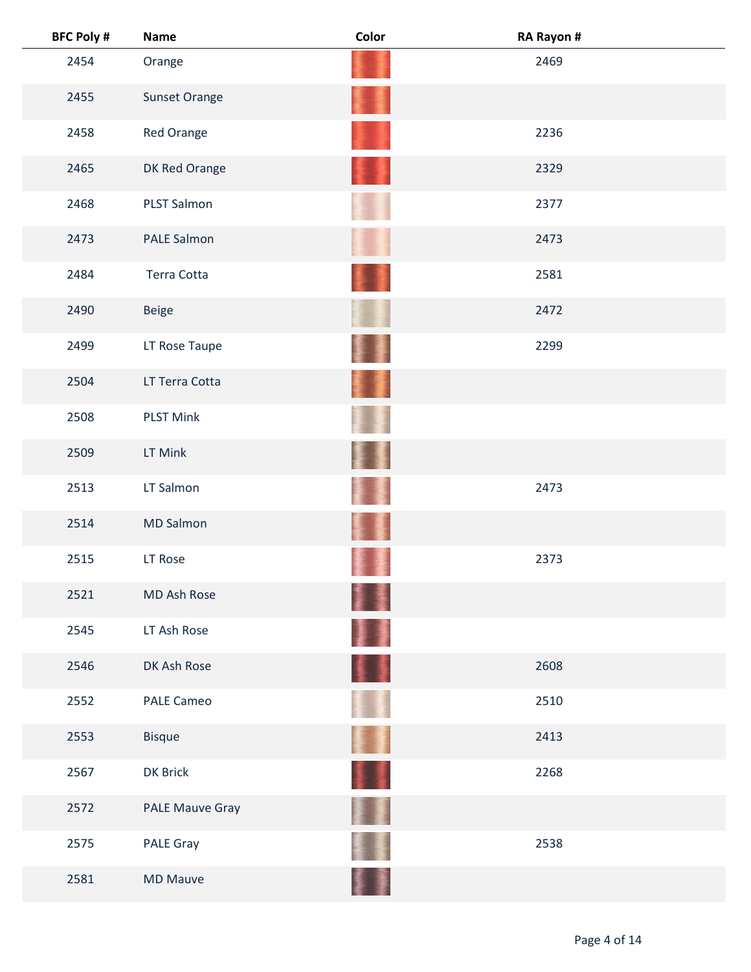| <b>BFC Poly #</b> | <b>Name</b>        | Color | RA Rayon # |  |
|-------------------|--------------------|-------|------------|--|
| 2454              | Orange             |       | 2469       |  |
| 2455              | Sunset Orange      |       |            |  |
| 2458              | Red Orange         |       | 2236       |  |
| 2465              | DK Red Orange      |       | 2329       |  |
| 2468              | <b>PLST Salmon</b> |       | 2377       |  |
| 2473              | PALE Salmon        |       | 2473       |  |
| 2484              | Terra Cotta        |       | 2581       |  |
| 2490              | <b>Beige</b>       |       | 2472       |  |
| 2499              | LT Rose Taupe      |       | 2299       |  |
| 2504              | LT Terra Cotta     | 螷     |            |  |
| 2508              | <b>PLST Mink</b>   |       |            |  |
| 2509              | LT Mink            |       |            |  |
| 2513              | LT Salmon          |       | 2473       |  |
| 2514              | <b>MD Salmon</b>   |       |            |  |
| 2515              | LT Rose            |       | 2373       |  |
| 2521              | MD Ash Rose        | ł     |            |  |
| 2545              | LT Ash Rose        | 屢     |            |  |
| 2546              | DK Ash Rose        | 4 I   | 2608       |  |
| 2552              | PALE Cameo         |       | 2510       |  |
| 2553              | <b>Bisque</b>      | Ħ     | 2413       |  |
| 2567              | DK Brick           | H     | 2268       |  |
| 2572              | PALE Mauve Gray    |       |            |  |
| 2575              | <b>PALE Gray</b>   |       | 2538       |  |
| 2581              | <b>MD Mauve</b>    |       |            |  |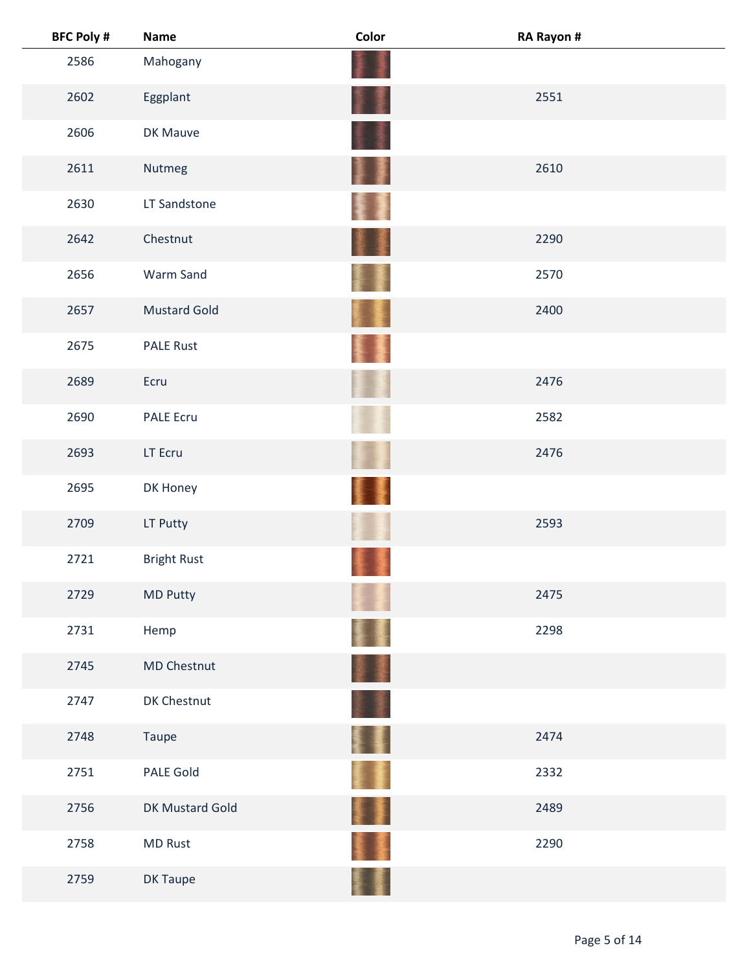| <b>BFC Poly #</b> | <b>Name</b>         | Color              | RA Rayon # |
|-------------------|---------------------|--------------------|------------|
| 2586              | Mahogany            |                    |            |
| 2602              | Eggplant            |                    | 2551       |
| 2606              | DK Mauve            |                    |            |
| 2611              | Nutmeg              | 屢<br><b>Report</b> | 2610       |
| 2630              | LT Sandstone        |                    |            |
| 2642              | Chestnut            |                    | 2290       |
| 2656              | Warm Sand           |                    | 2570       |
| 2657              | <b>Mustard Gold</b> |                    | 2400       |
| 2675              | <b>PALE Rust</b>    |                    |            |
| 2689              | Ecru                |                    | 2476       |
| 2690              | <b>PALE Ecru</b>    |                    | 2582       |
| 2693              | LT Ecru             |                    | 2476       |
| 2695              | DK Honey            |                    |            |
| 2709              | LT Putty            |                    | 2593       |
| 2721              | <b>Bright Rust</b>  |                    |            |
| 2729              | MD Putty            |                    | 2475       |
| 2731              | Hemp                |                    | 2298       |
| 2745              | MD Chestnut         | 重量                 |            |
| 2747              | DK Chestnut         |                    |            |
| 2748              | Taupe               | Ħ                  | 2474       |
| 2751              | PALE Gold           |                    | 2332       |
| 2756              | DK Mustard Gold     | ł<br>薄度            | 2489       |
| 2758              | <b>MD Rust</b>      |                    | 2290       |
| 2759              | DK Taupe            |                    |            |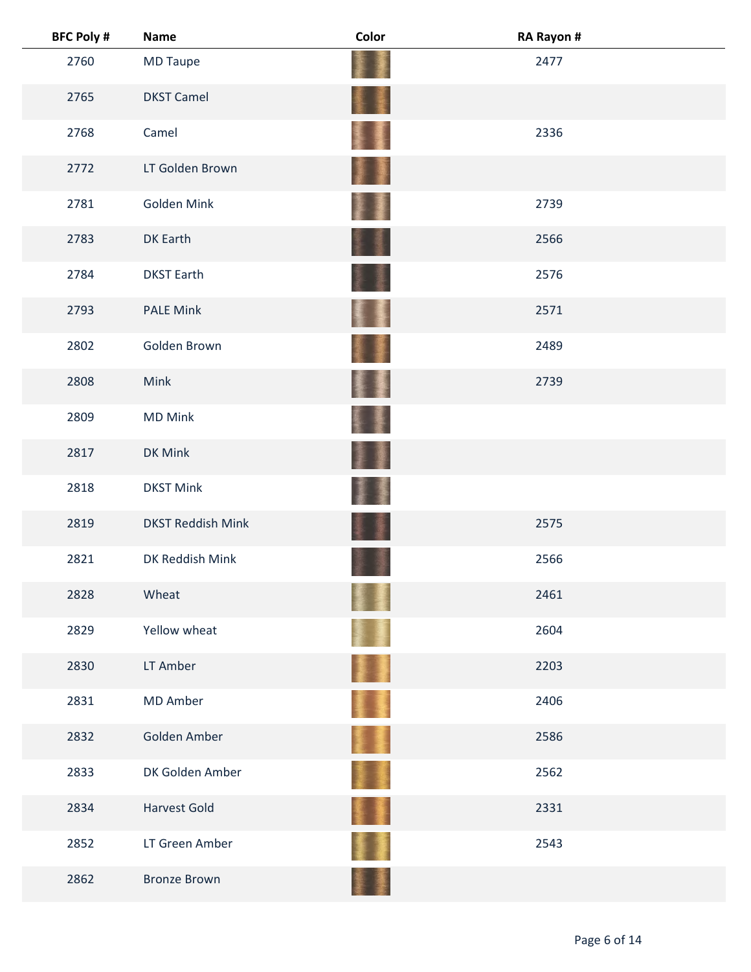| <b>BFC Poly #</b> | <b>Name</b>              | Color         | RA Rayon # |  |
|-------------------|--------------------------|---------------|------------|--|
| 2760              | MD Taupe                 |               | 2477       |  |
| 2765              | <b>DKST Camel</b>        | <b>I</b><br>蟇 |            |  |
| 2768              | Camel                    | 橐             | 2336       |  |
| 2772              | LT Golden Brown          | H             |            |  |
| 2781              | Golden Mink              |               | 2739       |  |
| 2783              | DK Earth                 |               | 2566       |  |
| 2784              | <b>DKST Earth</b>        |               | 2576       |  |
| 2793              | <b>PALE Mink</b>         | ł             | 2571       |  |
| 2802              | Golden Brown             |               | 2489       |  |
| 2808              | Mink                     | <b>Report</b> | 2739       |  |
| 2809              | <b>MD Mink</b>           |               |            |  |
| 2817              | DK Mink                  |               |            |  |
| 2818              | <b>DKST Mink</b>         |               |            |  |
| 2819              | <b>DKST Reddish Mink</b> |               | 2575       |  |
| 2821              | DK Reddish Mink          |               | 2566       |  |
| 2828              | Wheat                    |               | 2461       |  |
| 2829              | Yellow wheat             |               | 2604       |  |
| 2830              | LT Amber                 | <b>A</b>      | 2203       |  |
| 2831              | <b>MD Amber</b>          | Ŧ             | 2406       |  |
| 2832              | Golden Amber             | E I           | 2586       |  |
| 2833              | DK Golden Amber          |               | 2562       |  |
| 2834              | Harvest Gold             | 軎             | 2331       |  |
| 2852              | LT Green Amber           |               | 2543       |  |
| 2862              | <b>Bronze Brown</b>      |               |            |  |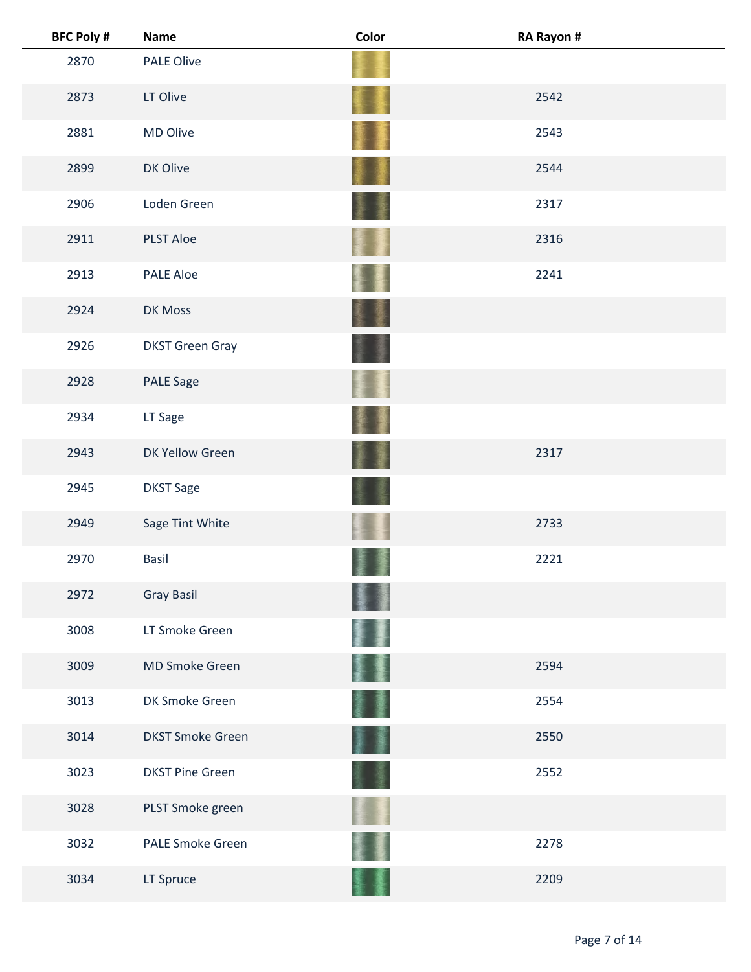| <b>BFC Poly #</b> | <b>Name</b>             | Color           | RA Rayon # |
|-------------------|-------------------------|-----------------|------------|
| 2870              | <b>PALE Olive</b>       |                 |            |
| 2873              | LT Olive                |                 | 2542       |
| 2881              | MD Olive                |                 | 2543       |
| 2899              | DK Olive                |                 | 2544       |
| 2906              | Loden Green             |                 | 2317       |
| 2911              | <b>PLST Aloe</b>        |                 | 2316       |
| 2913              | <b>PALE Aloe</b>        |                 | 2241       |
| 2924              | DK Moss                 |                 |            |
| 2926              | <b>DKST Green Gray</b>  |                 |            |
| 2928              | <b>PALE Sage</b>        |                 |            |
| 2934              | LT Sage                 |                 |            |
| 2943              | DK Yellow Green         |                 | 2317       |
| 2945              | <b>DKST Sage</b>        |                 |            |
| 2949              | Sage Tint White         |                 | 2733       |
| 2970              | <b>Basil</b>            |                 | 2221       |
| 2972              | <b>Gray Basil</b>       |                 |            |
| 3008              | LT Smoke Green          |                 |            |
| 3009              | <b>MD Smoke Green</b>   |                 | 2594       |
| 3013              | DK Smoke Green          |                 | 2554       |
| 3014              | <b>DKST Smoke Green</b> | <b>See</b><br>厪 | 2550       |
| 3023              | <b>DKST Pine Green</b>  |                 | 2552       |
| 3028              | PLST Smoke green        |                 |            |
| 3032              | <b>PALE Smoke Green</b> |                 | 2278       |
| 3034              | LT Spruce               |                 | 2209       |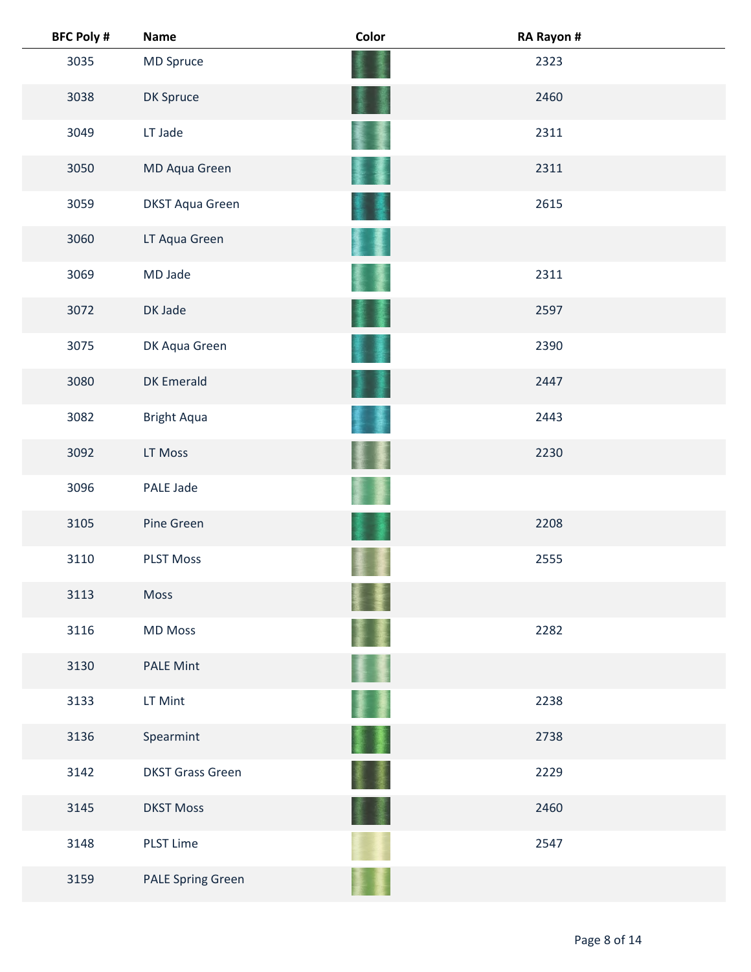| <b>BFC Poly #</b> | <b>Name</b>              | Color | RA Rayon # |  |
|-------------------|--------------------------|-------|------------|--|
| 3035              | MD Spruce                |       | 2323       |  |
| 3038              | DK Spruce                |       | 2460       |  |
| 3049              | LT Jade                  |       | 2311       |  |
| 3050              | MD Aqua Green            |       | 2311       |  |
| 3059              | <b>DKST Aqua Green</b>   |       | 2615       |  |
| 3060              | LT Aqua Green            |       |            |  |
| 3069              | MD Jade                  |       | 2311       |  |
| 3072              | DK Jade                  |       | 2597       |  |
| 3075              | DK Aqua Green            |       | 2390       |  |
| 3080              | <b>DK Emerald</b>        |       | 2447       |  |
| 3082              | <b>Bright Aqua</b>       |       | 2443       |  |
| 3092              | LT Moss                  |       | 2230       |  |
| 3096              | PALE Jade                |       |            |  |
| 3105              | Pine Green               |       | 2208       |  |
| 3110              | <b>PLST Moss</b>         |       | 2555       |  |
| 3113              | Moss                     |       |            |  |
| 3116              | <b>MD Moss</b>           |       | 2282       |  |
| 3130              | <b>PALE Mint</b>         |       |            |  |
| 3133              | LT Mint                  |       | 2238       |  |
| 3136              | Spearmint                | 墨     | 2738       |  |
| 3142              | <b>DKST Grass Green</b>  | 蘆     | 2229       |  |
| 3145              | <b>DKST Moss</b>         |       | 2460       |  |
| 3148              | <b>PLST Lime</b>         |       | 2547       |  |
| 3159              | <b>PALE Spring Green</b> |       |            |  |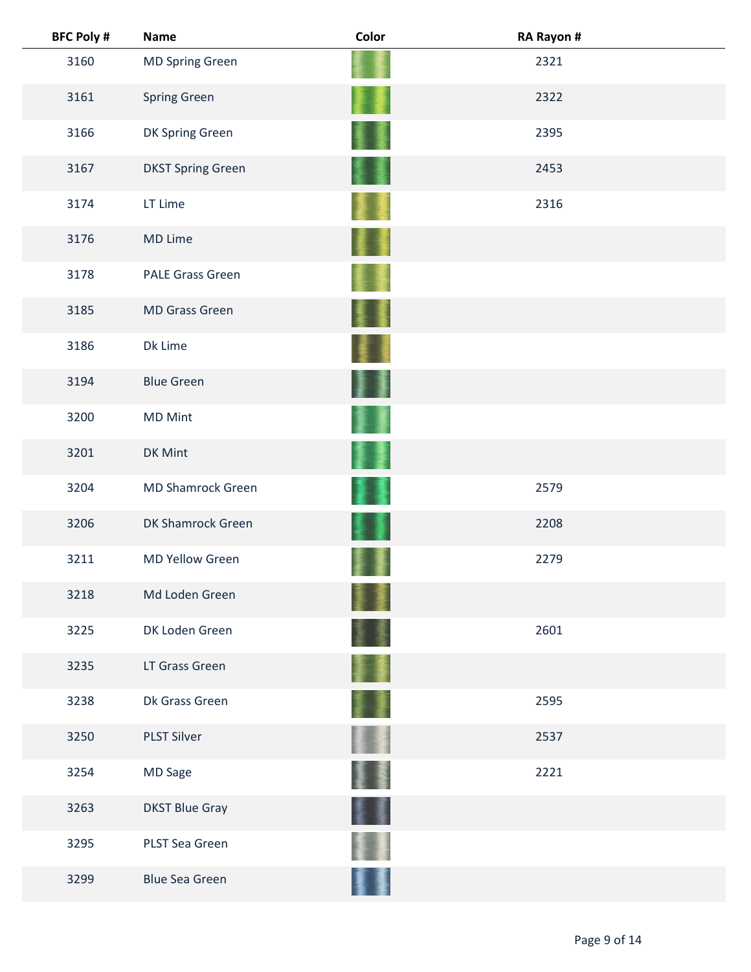| <b>BFC Poly #</b> | <b>Name</b>              | Color | RA Rayon # |  |
|-------------------|--------------------------|-------|------------|--|
| 3160              | <b>MD Spring Green</b>   |       | 2321       |  |
| 3161              | <b>Spring Green</b>      |       | 2322       |  |
| 3166              | DK Spring Green          |       | 2395       |  |
| 3167              | <b>DKST Spring Green</b> |       | 2453       |  |
| 3174              | LT Lime                  |       | 2316       |  |
| 3176              | MD Lime                  |       |            |  |
| 3178              | <b>PALE Grass Green</b>  |       |            |  |
| 3185              | <b>MD Grass Green</b>    |       |            |  |
| 3186              | Dk Lime                  |       |            |  |
| 3194              | <b>Blue Green</b>        |       |            |  |
| 3200              | <b>MD Mint</b>           |       |            |  |
| 3201              | DK Mint                  |       |            |  |
| 3204              | <b>MD Shamrock Green</b> |       | 2579       |  |
| 3206              | DK Shamrock Green        |       | 2208       |  |
| 3211              | <b>MD Yellow Green</b>   |       | 2279       |  |
| 3218              | Md Loden Green           |       |            |  |
| 3225              | DK Loden Green           |       | 2601       |  |
| 3235              | LT Grass Green           |       |            |  |
| 3238              | Dk Grass Green           |       | 2595       |  |
| 3250              | <b>PLST Silver</b>       |       | 2537       |  |
| 3254              | MD Sage                  |       | 2221       |  |
| 3263              | <b>DKST Blue Gray</b>    |       |            |  |
| 3295              | PLST Sea Green           |       |            |  |
| 3299              | <b>Blue Sea Green</b>    |       |            |  |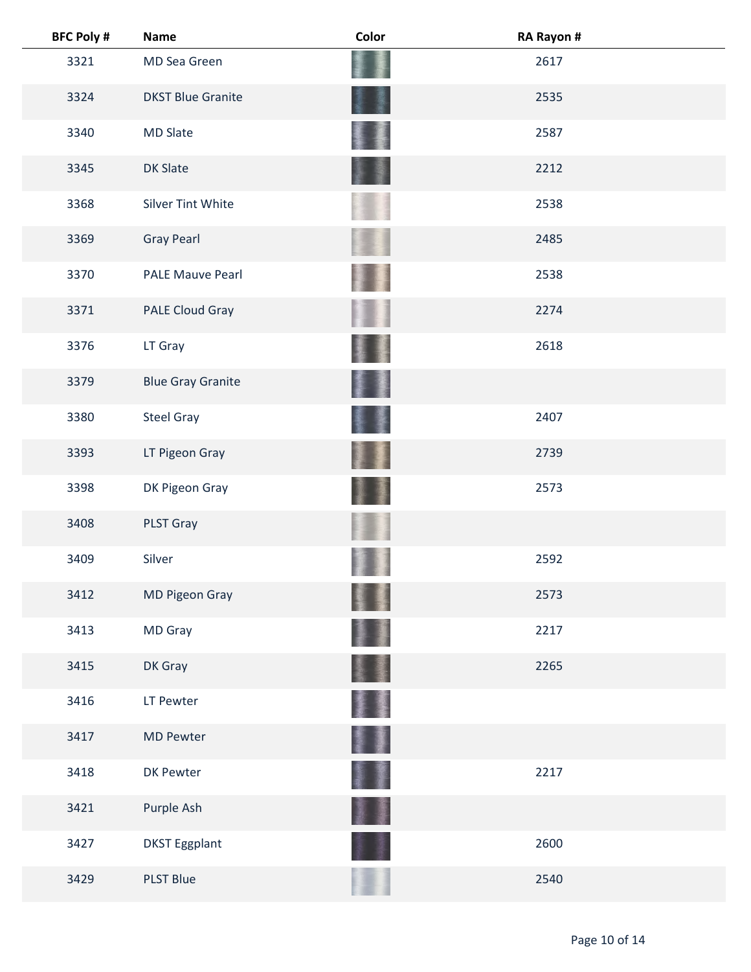| <b>BFC Poly #</b> | <b>Name</b>              | Color | RA Rayon # |
|-------------------|--------------------------|-------|------------|
| 3321              | MD Sea Green             |       | 2617       |
| 3324              | <b>DKST Blue Granite</b> |       | 2535       |
| 3340              | <b>MD Slate</b>          |       | 2587       |
| 3345              | <b>DK Slate</b>          |       | 2212       |
| 3368              | <b>Silver Tint White</b> |       | 2538       |
| 3369              | <b>Gray Pearl</b>        |       | 2485       |
| 3370              | <b>PALE Mauve Pearl</b>  |       | 2538       |
| 3371              | PALE Cloud Gray          |       | 2274       |
| 3376              | LT Gray                  |       | 2618       |
| 3379              | <b>Blue Gray Granite</b> |       |            |
| 3380              | <b>Steel Gray</b>        |       | 2407       |
| 3393              | LT Pigeon Gray           |       | 2739       |
| 3398              | DK Pigeon Gray           |       | 2573       |
| 3408              | PLST Gray                |       |            |
| 3409              | Silver                   |       | 2592       |
| 3412              | MD Pigeon Gray           |       | 2573       |
| 3413              | MD Gray                  |       | 2217       |
| 3415              | DK Gray                  |       | 2265       |
| 3416              | LT Pewter                |       |            |
| 3417              | <b>MD Pewter</b>         | I     |            |
| 3418              | DK Pewter                |       | 2217       |
| 3421              | Purple Ash               |       |            |
| 3427              | <b>DKST Eggplant</b>     |       | 2600       |
| 3429              | <b>PLST Blue</b>         |       | 2540       |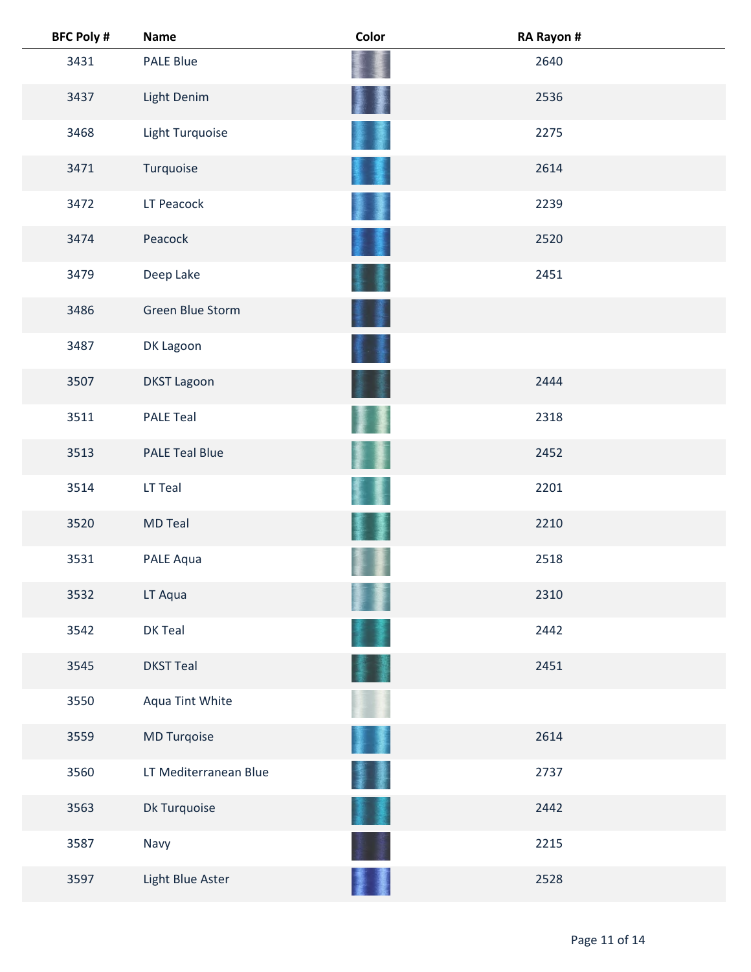| <b>BFC Poly #</b> | <b>Name</b>           | Color | RA Rayon # |
|-------------------|-----------------------|-------|------------|
| 3431              | <b>PALE Blue</b>      |       | 2640       |
| 3437              | Light Denim           |       | 2536       |
| 3468              | Light Turquoise       |       | 2275       |
| 3471              | Turquoise             |       | 2614       |
| 3472              | LT Peacock            |       | 2239       |
| 3474              | Peacock               |       | 2520       |
| 3479              | Deep Lake             |       | 2451       |
| 3486              | Green Blue Storm      |       |            |
| 3487              | DK Lagoon             |       |            |
| 3507              | <b>DKST Lagoon</b>    |       | 2444       |
| 3511              | <b>PALE Teal</b>      |       | 2318       |
| 3513              | <b>PALE Teal Blue</b> |       | 2452       |
| 3514              | LT Teal               |       | 2201       |
| 3520              | <b>MD Teal</b>        |       | 2210       |
| 3531              | PALE Aqua             |       | 2518       |
| 3532              | LT Aqua               |       | 2310       |
| 3542              | DK Teal               |       | 2442       |
| 3545              | <b>DKST Teal</b>      |       | 2451       |
| 3550              | Aqua Tint White       |       |            |
| 3559              | MD Turqoise           |       | 2614       |
| 3560              | LT Mediterranean Blue | ł     | 2737       |
| 3563              | Dk Turquoise          |       | 2442       |
| 3587              | Navy                  |       | 2215       |
| 3597              | Light Blue Aster      |       | 2528       |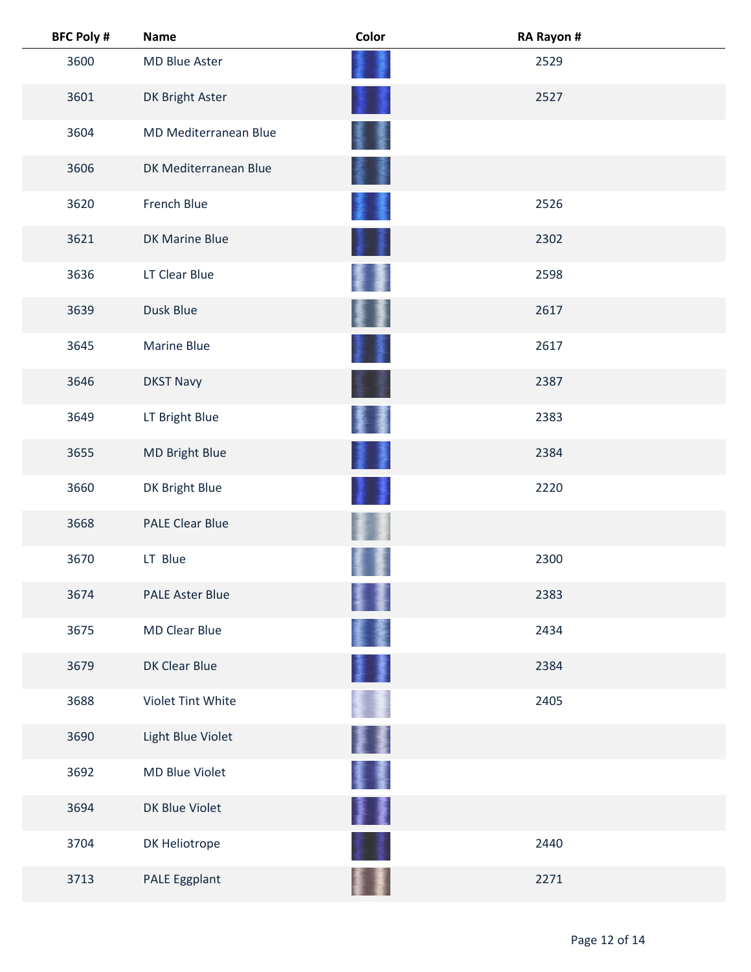| <b>BFC Poly #</b> | <b>Name</b>            | Color | RA Rayon # |
|-------------------|------------------------|-------|------------|
| 3600              | MD Blue Aster          |       | 2529       |
| 3601              | DK Bright Aster        |       | 2527       |
| 3604              | MD Mediterranean Blue  |       |            |
| 3606              | DK Mediterranean Blue  |       |            |
| 3620              | French Blue            |       | 2526       |
| 3621              | DK Marine Blue         |       | 2302       |
| 3636              | LT Clear Blue          |       | 2598       |
| 3639              | Dusk Blue              |       | 2617       |
| 3645              | <b>Marine Blue</b>     |       | 2617       |
| 3646              | <b>DKST Navy</b>       |       | 2387       |
| 3649              | LT Bright Blue         |       | 2383       |
| 3655              | MD Bright Blue         |       | 2384       |
| 3660              | DK Bright Blue         |       | 2220       |
| 3668              | <b>PALE Clear Blue</b> |       |            |
| 3670              | LT Blue                |       | 2300       |
| 3674              | <b>PALE Aster Blue</b> |       | 2383       |
| 3675              | <b>MD Clear Blue</b>   |       | 2434       |
| 3679              | DK Clear Blue          |       | 2384       |
| 3688              | Violet Tint White      |       | 2405       |
| 3690              | Light Blue Violet      |       |            |
| 3692              | MD Blue Violet         | 矍     |            |
| 3694              | DK Blue Violet         | ł     |            |
| 3704              | DK Heliotrope          |       | 2440       |
| 3713              | PALE Eggplant          |       | 2271       |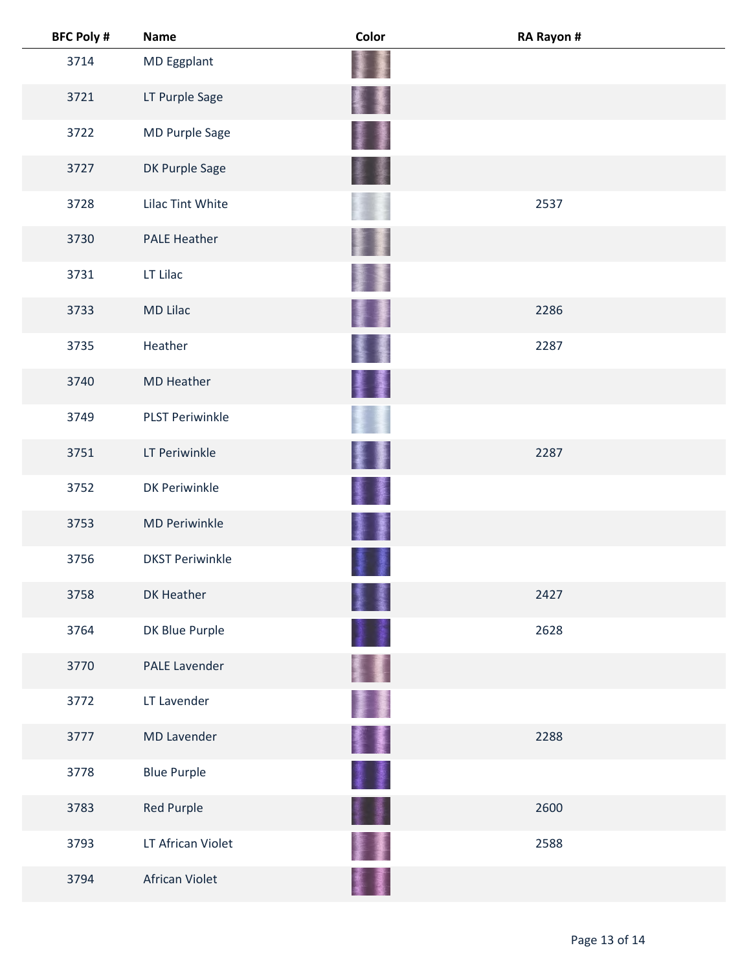| <b>BFC Poly #</b> | <b>Name</b>            | Color   | RA Rayon # |
|-------------------|------------------------|---------|------------|
| 3714              | MD Eggplant            |         |            |
| 3721              | LT Purple Sage         |         |            |
| 3722              | MD Purple Sage         |         |            |
| 3727              | DK Purple Sage         |         |            |
| 3728              | Lilac Tint White       |         | 2537       |
| 3730              | <b>PALE Heather</b>    |         |            |
| 3731              | LT Lilac               |         |            |
| 3733              | <b>MD Lilac</b>        |         | 2286       |
| 3735              | Heather                |         | 2287       |
| 3740              | <b>MD Heather</b>      | 漫画<br>屢 |            |
| 3749              | <b>PLST Periwinkle</b> |         |            |
| 3751              | LT Periwinkle          |         | 2287       |
| 3752              | DK Periwinkle          |         |            |
| 3753              | <b>MD Periwinkle</b>   | 鏖       |            |
| 3756              | <b>DKST Periwinkle</b> |         |            |
| 3758              | DK Heather             |         | 2427       |
| 3764              | DK Blue Purple         |         | 2628       |
| 3770              | <b>PALE Lavender</b>   |         |            |
| 3772              | LT Lavender            |         |            |
| 3777              | <b>MD Lavender</b>     | 활돌      | 2288       |
| 3778              | <b>Blue Purple</b>     | 1       |            |
| 3783              | Red Purple             | 1       | 2600       |
| 3793              | LT African Violet      |         | 2588       |
| 3794              | African Violet         |         |            |